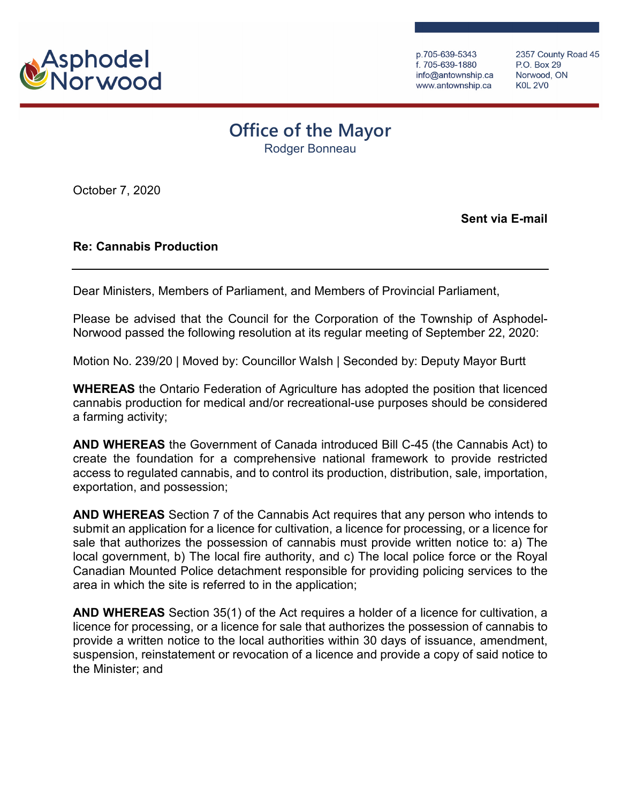

p.705-639-5343 f. 705-639-1880 info@antownship.ca www.antownship.ca

2357 County Road 45 P.O. Box 29 Norwood, ON **K0L 2V0** 

## **Office of the Mayor**

Rodger Bonneau

October 7, 2020

**Sent via E-mail**

## **Re: Cannabis Production**

Dear Ministers, Members of Parliament, and Members of Provincial Parliament,

Please be advised that the Council for the Corporation of the Township of Asphodel-Norwood passed the following resolution at its regular meeting of September 22, 2020:

Motion No. 239/20 | Moved by: Councillor Walsh | Seconded by: Deputy Mayor Burtt

**WHEREAS** the Ontario Federation of Agriculture has adopted the position that licenced cannabis production for medical and/or recreational-use purposes should be considered a farming activity;

**AND WHEREAS** the Government of Canada introduced Bill C-45 (the Cannabis Act) to create the foundation for a comprehensive national framework to provide restricted access to regulated cannabis, and to control its production, distribution, sale, importation, exportation, and possession;

**AND WHEREAS** Section 7 of the Cannabis Act requires that any person who intends to submit an application for a licence for cultivation, a licence for processing, or a licence for sale that authorizes the possession of cannabis must provide written notice to: a) The local government, b) The local fire authority, and c) The local police force or the Royal Canadian Mounted Police detachment responsible for providing policing services to the area in which the site is referred to in the application;

**AND WHEREAS** Section 35(1) of the Act requires a holder of a licence for cultivation, a licence for processing, or a licence for sale that authorizes the possession of cannabis to provide a written notice to the local authorities within 30 days of issuance, amendment, suspension, reinstatement or revocation of a licence and provide a copy of said notice to the Minister; and